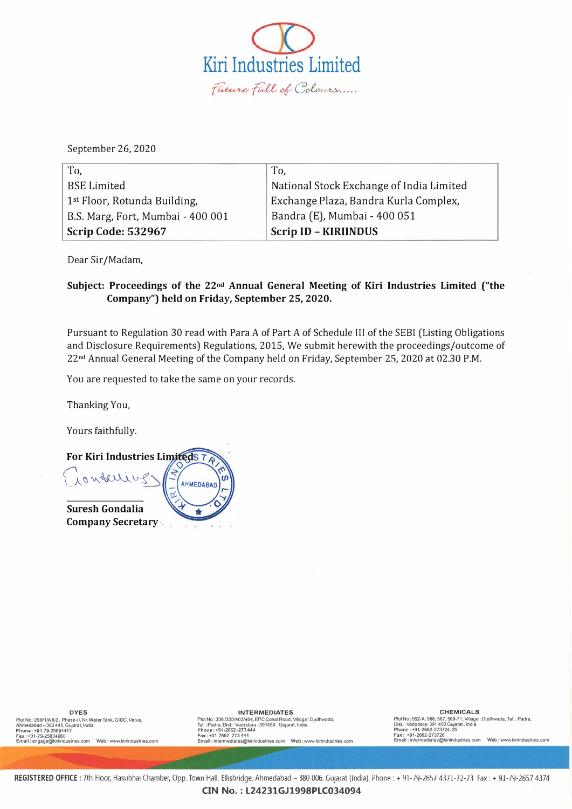

September 26, 2020

| To,                                      | To,                                      |
|------------------------------------------|------------------------------------------|
| <b>BSE</b> Limited                       | National Stock Exchange of India Limited |
| 1 <sup>st</sup> Floor, Rotunda Building, | Exchange Plaza, Bandra Kurla Complex,    |
| B.S. Marg, Fort, Mumbai - 400 001        | Bandra (E), Mumbai - 400 051             |
| Scrip Code: 532967                       | <b>Scrip ID - KIRIINDUS</b>              |

Dear Sir/Madam,

## **Subject: Proceedings of the 22nd Annual General Meeting of Kiri Industries Limited ("the Company") held on Friday, September 25, 2020.**

Pursuant to Regulation 30 read with Para A of Part A of Schedule III of the SEBI (Listing Obligations and Disclosure Requirements) Regulations, 2015, We submit herewith the proceedings/outcome of 22nd Annual General Meeting of the Company held on Friday, September 25, 2020 at 02.30 P.M.

You are requested to take the same on your records.

Thanking You,

Yours faithfully.



**DYES**  PlotNo: 299/1/A&D, Phase-II, Nr. Water Tank, GiDC, Vatva,<br>Ahmedabad –382 445, Gujarat, India.<br>Phone : +91-79-25894177<br>Email : engage@kiriindustries.com Web : www.kiriindustries.com<br>Email : engage@kiriindustries.com

### **INTERMEDIATES**

**riot No: 306/3!Y.l/-403/404, ere Conol Rood. Villogo: Oudhwoda, Tai.: Padra, Dist. :Vadodara- 391450. Gujarat, India. Phone: +91-2662-273444 Fax: +01 2662 273 '144 Emal I: intennediales@kiriindustries.com Web: www.kiriindustries.com** 

**CHEMICALS Plot No: 552-A, 566,567, 569-71, Village: Oudhwada, Tai.: Padra, Dist. :Vadodara• 391 450 Gujarat , India. Phone: +91-2662-273724. 25 Fax: +91-2662-273726 Emall : lntermedia1es@kiriindustries.com Web: www.klriindustries.com**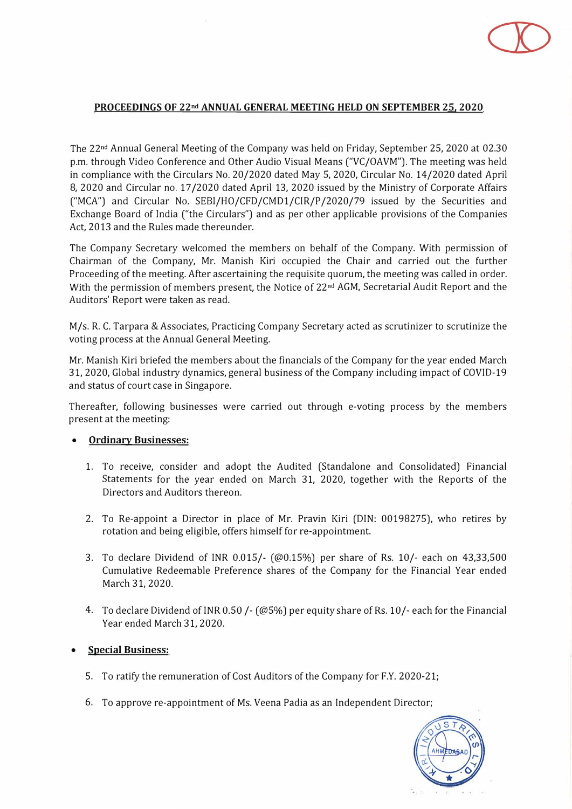# CD

## **PROCEEDINGS OF 22nd ANNUAL GENERAL MEETING HELD ON SEPTEMBER 25, 2020**

The 22nd Annual General Meeting of the Company was held on Friday, September 25, 2020 at 02.30 p.m. through Video Conference and Other Audio Visual Means ("VC/OAVM"). The meeting was held in compliance with the Circulars No. 20/2020 dated May 5, 2020, Circular No. 14/2020 dated April 8, 2020 and Circular no. 17 /2020 dated April 13, 2020 issued by the Ministry of Corporate Affairs ("MCA") and Circular No. SEBI/HO/CFD/CMDl/CIR/P /2020/79 issued by the Securities and Exchange Board of India ("the Circulars") and as per other applicable provisions of the Companies Act, 2013 and the Rules made thereunder.

The Company Secretary welcomed the members on behalf of the Company. With permission of Chairman of the Company, Mr. Manish Kiri occupied the Chair and carried out the further Proceeding of the meeting. After ascertaining the requisite quorum, the meeting was called in order. With the permission of members present, the Notice of 22<sup>nd</sup> AGM, Secretarial Audit Report and the Auditors' Report were taken as read.

M/s. R. C. Tarpara & Associates, Practicing Company Secretary acted as scrutinizer to scrutinize the voting process at the Annual General Meeting.

Mr. Manish Kiri briefed the members about the financials of the Company for the year ended March 31, 2020, Global industry dynamics, general business of the Company including impact of COVID-19 and status of court case in Singapore.

Thereafter, following businesses were carried out through e-voting process by the members present at the meeting:

#### **•Ordinary Businesses:**

- 1. To receive, consider and adopt the Audited (Standalone and Consolidated) Financial Statements for the year ended on March 31, 2020, together with the Reports of the Directors and Auditors thereon.
- 2. To Re-appoint a Director in place of Mr. Pravin Kiri (DIN: 00198275), who retires by rotation and being eligible, offers himself for re-appointment.
- 3. To declare Dividend of INR 0.015/- (@0.15%) per share of Rs. 10/- each on 43,33,500 Cumulative Redeemable Preference shares of the Company for the Financial Year ended March 31, 2020.
- 4. To declare Dividend of INR 0.50 /- (@5%) per equity share of Rs. 10/- each for the Financial Year ended March 31, 2020.

#### **•Special Business:**

- 5. To ratify the remuneration of Cost Auditors of the Company for F.Y. 2020-21;
- 6. To approve re-appointment of Ms. Veena Padia as an Independent Director;